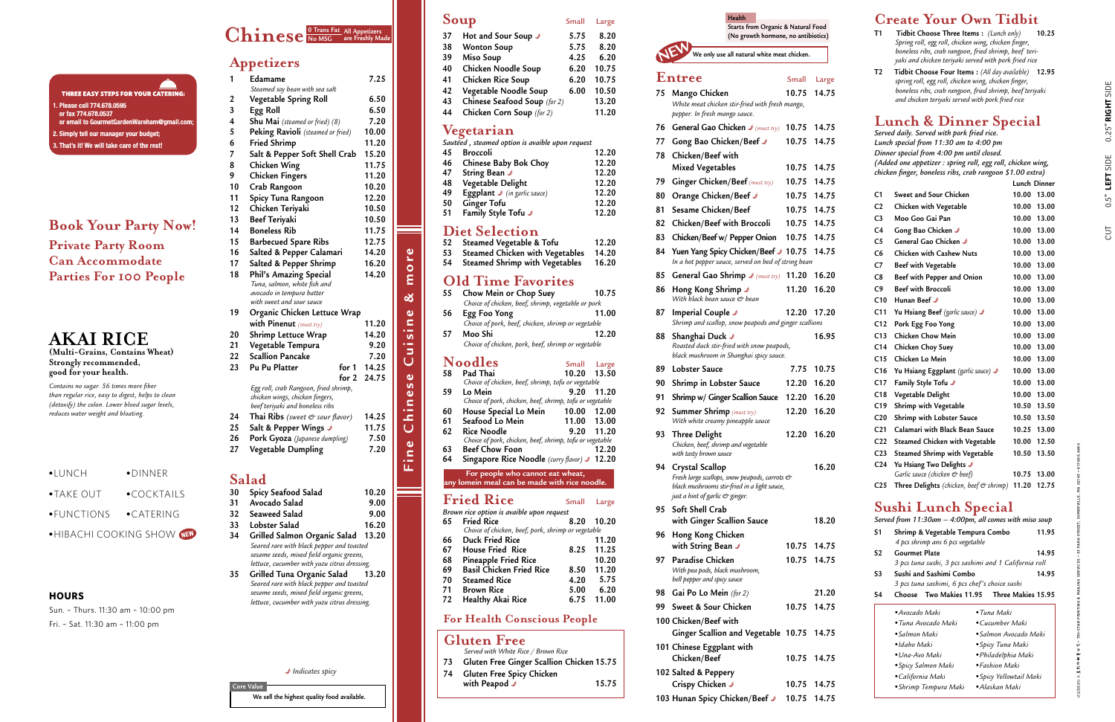### **Gluten Free**

| Served with White Rice / Brown Rice          |       |
|----------------------------------------------|-------|
| 73 Gluten Free Ginger Scallion Chicken 15.75 |       |
| 74 Gluten Free Spicy Chicken                 |       |
| with Peapod $\mathcal I$                     | 15.75 |

### **For Health Conscious People**

**Core Value**

### **Appetizers**

| 1  | Edamame                                                | 7.25  |
|----|--------------------------------------------------------|-------|
|    | Steamed soy bean with sea salt                         |       |
| 2  | Vegetable Spring Roll                                  | 6.50  |
| 3  | Egg Roll                                               | 6.50  |
| 4  | Shu Mai (steamed or fried) (8)                         | 7.20  |
| 5  | Peking Ravioli (steamed or fried)                      | 10.00 |
| 6  | <b>Fried Shrimp</b>                                    | 11.20 |
| 7  | Salt & Pepper Soft Shell Crab                          | 15.20 |
| 8  | <b>Chicken Wing</b>                                    | 11.75 |
| 9  | <b>Chicken Fingers</b>                                 | 11.20 |
| 10 | Crab Rangoon                                           | 10.20 |
| 11 | Spicy Tuna Rangoon                                     | 12.20 |
| 12 | Chicken Teriyaki                                       | 10.50 |
| 13 | <b>Beef Teriyaki</b>                                   | 10.50 |
| 14 | <b>Boneless Rib</b>                                    | 11.75 |
| 15 | <b>Barbecued Spare Ribs</b>                            | 12.75 |
| 16 | Salted & Pepper Calamari                               | 14.20 |
| 17 | Salted & Pepper Shrimp                                 | 16.20 |
| 18 | Phil's Amazing Special                                 | 14.20 |
|    | Tuna, salmon, white fish and                           |       |
|    | avocado in tempura batter<br>with sweet and sour sauce |       |
| 19 | Organic Chicken Lettuce Wrap                           |       |
|    | with Pinenut (must try)                                | 11.20 |
| 20 | <b>Shrimp Lettuce Wrap</b>                             | 14.20 |
| 21 | Vegetable Tempura                                      | 9.20  |
| 22 | <b>Scallion Pancake</b>                                | 7.20  |
| 23 | Pu Pu Platter<br>for 1                                 | 14.25 |
|    | for $2$                                                | 24.75 |
|    | Egg roll, crab Rangoon, fried shrimp,                  |       |
|    | chicken wings, chicken fingers,                        |       |
|    | beef teriyaki and boneless ribs                        |       |
| 24 | Thai Ribs (sweet & sour flavor)                        | 14.25 |
| 25 | Salt & Pepper Wings                                    | 11.75 |
| 26 | Pork Gyoza (Japanese dumpling)                         | 7.50  |
| 27 | Vegetable Dumpling                                     | 7.20  |
|    |                                                        |       |
|    |                                                        |       |
|    | Salad                                                  |       |
| 30 | Spicy Seafood Salad                                    | 10.20 |
| 31 | Avocado Salad                                          | 9.00  |

#### $$ **All Appetizers are Freshly Made**

## **Starts from Organic & Natural Foo** (No growth hormone, no antibiot **We only use all natural white meat chicken.**

- **32 Seaweed Salad 9.00 33 Lobster Salad 16.20 34 Grilled Salmon Organic Salad 13.20**
- *Seared rare with black pepper and toasted sesame seeds, mixed field organic greens, lettuce, cucumber with yuzu citrus dressing.*

**35 Grilled Tuna Organic Salad 13.20** *Seared rare with black pepper and toasted sesame seeds, mixed field organic greens, lettuce, cucumber with yuzu citrus dressing.*

B *Indicates spicy*

## Soup Small Large

**Fine Chinese Cuisine & more**

Chinese

Fine

Cuisine

more

ಹ

## **AKAI RICE**

**(Multi-Grains, Contains Wheat) Strongly recommended, good for your health.**

*Contains no sugar. 56 times more fiber than regular rice, easy to digest, helps to clean (detoxify) the colon. Lower blood sugar levels, reduces water weight and bloating.* 

### **Book Your Party Now!**

**Private Party Room Can Accommodate Parties For 100 People** 

### **HOURS**

Sun. – Thurs. 11:30 am – 10:00 pm Fri. – Sat. 11:30 am – 11:00 pm

**Health**

|     | Entree                                                                                | Small       | Large |
|-----|---------------------------------------------------------------------------------------|-------------|-------|
| 75  | Mango Chicken                                                                         | 10.75       | 14.75 |
|     | White meat chicken stir-fried with fresh mango,<br>pepper. In fresh mango sauce.      |             |       |
| 76  | General Gao Chicken $\blacktriangleright$ (must try)                                  | 10.75       | 14.75 |
| 77  | Gong Bao Chicken/Beef &                                                               | 10.75       | 14.75 |
| 78  | Chicken/Beef with                                                                     |             |       |
|     | <b>Mixed Vegetables</b>                                                               | 10.75       | 14.75 |
| 79  | Ginger Chicken/Beef (must try)                                                        | 10.75       | 14.75 |
| 80  | Orange Chicken/Beef ♪                                                                 | 10.75       | 14.75 |
| 81  | Sesame Chicken/Beef                                                                   | 10.75       | 14.75 |
| 82  | Chicken/Beef with Broccoli                                                            | 10.75       | 14.75 |
| 83  | Chicken/Beef w/ Pepper Onion                                                          | 10.75       | 14.75 |
| 84  | Yuen Yang Spicy Chicken/Beef &<br>In a hot pepper sauce, served on bed of string bean | 10.75       | 14.75 |
| 85  | General Gao Shrimp $\blacktriangleright$ (must try)                                   | 11.20       | 16.20 |
| 86  | Hong Kong Shrimp ৶<br>With black bean sauce & bean                                    | 11.20       | 16.20 |
| 87  | Imperial Couple J                                                                     | 12.20       | 17.20 |
|     | Shrimp and scallop, snow peapods and ginger scallions                                 |             |       |
| 88  | Shanghai Duck J<br>Roasted duck stir-fried with snow peapods,                         |             | 16.95 |
|     | black mushroom in Shanghai spicy sauce.                                               |             |       |
| 89  | <b>Lobster Sauce</b>                                                                  | 7.75        | 10.75 |
| 90  | Shrimp in Lobster Sauce                                                               | 12.20       | 16.20 |
| 91  | Shrimp w/ Ginger Scallion Sauce                                                       | 12.20       | 16.20 |
| 92  | Summer Shrimp (must try)<br>With white creamy pineapple sauce                         | 12.20       | 16.20 |
| 93  | <b>Three Delight</b><br>Chicken, beef, shrimp and vegetable<br>with tasty brown sauce | 12.20       | 16.20 |
| 94  | Crystal Scallop                                                                       |             | 16.20 |
|     | Fresh large scallops, snow peapods, carrots &                                         |             |       |
|     | black mushrooms stir-fried in a light sauce,<br>just a hint of garlic & ginger.       |             |       |
| 95  | Soft Shell Crab                                                                       |             |       |
|     | with Ginger Scallion Sauce                                                            |             | 18.20 |
| 96. | Hong Kong Chicken                                                                     |             |       |
|     | with String Bean J                                                                    | 10.75       | 14.75 |
| 97  | Paradise Chicken                                                                      | 10.75 14.75 |       |
|     | With pea pods, black mushroom,<br>bell pepper and spicy sauce                         |             |       |
|     | 98 Gai Po Lo Mein (for 2)                                                             |             | 21.20 |
| 99  | Sweet & Sour Chicken                                                                  | 10.75       | 14.75 |
|     | 100 Chicken/Beef with                                                                 |             |       |
|     | Ginger Scallion and Vegetable 10.75                                                   |             | 14.75 |
|     | 101 Chinese Eggplant with                                                             |             |       |
|     | Chicken/Beef                                                                          | 10.75       | 14.75 |
|     | 102 Salted & Peppery                                                                  |             |       |
|     | Crispy Chicken ♪                                                                      | 10.75       | 14.75 |
|     | 103 Hunan Spicy Chicken/Beef &                                                        | 10.75       | 14.75 |

#### **THREE EASY STEPS FOR YOUR CATERING:** 1. Please call 774.678.0595 or fax 774.678.0537 or email to GourmetGardenWareham@gmail.com 2. Simply tell our manager your budget; 3. That's it! We will take care of the rest!

|            |                 | <b>Create Your Own Tidbit</b>                                                                                |                         |       |              |                                                                                                                 |                    |
|------------|-----------------|--------------------------------------------------------------------------------------------------------------|-------------------------|-------|--------------|-----------------------------------------------------------------------------------------------------------------|--------------------|
| od<br>ics) | T1              | Tidbit Choose Three Items: (Lunch only)                                                                      |                         |       | 10.25        |                                                                                                                 |                    |
|            |                 | Spring roll, egg roll, chicken wing, chicken finger,                                                         |                         |       |              |                                                                                                                 |                    |
|            |                 | boneless ribs, crab rangoon, fried shrimp, beef teri-                                                        |                         |       |              |                                                                                                                 |                    |
|            | T2              | yaki and chicken teriyaki served with pork fried rice                                                        |                         |       |              |                                                                                                                 |                    |
| arge       |                 | <b>Tidbit Choose Four Items:</b> (All day available)<br>spring roll, egg roll, chicken wing, chicken finger, |                         |       | 12.95        |                                                                                                                 |                    |
| 4.75       |                 | boneless ribs, crab rangoon, fried shrimp, beef teriyaki                                                     |                         |       |              |                                                                                                                 |                    |
|            |                 | and chicken teriyaki served with pork fried rice                                                             |                         |       |              |                                                                                                                 |                    |
|            |                 | <b>Lunch &amp; Dinner Special</b>                                                                            |                         |       |              |                                                                                                                 | $0.25"$ RIGHT SIDE |
| 4.75       |                 | Served daily. Served with pork fried rice.                                                                   |                         |       |              |                                                                                                                 |                    |
| 4.75       |                 | Lunch special from 11:30 am to 4:00 pm                                                                       |                         |       |              |                                                                                                                 |                    |
|            |                 | Dinner special from 4:00 pm until closed.                                                                    |                         |       |              |                                                                                                                 |                    |
| 4.75       |                 | (Added one appetizer : spring roll, egg roll, chicken wing,                                                  |                         |       |              |                                                                                                                 | SIDE               |
| 4.75       |                 | chicken finger, boneless ribs, crab rangoon \$1.00 extra)                                                    |                         |       | Lunch Dinner |                                                                                                                 | LEFT               |
|            | C1              | Sweet and Sour Chicken                                                                                       |                         |       | 10.00 13.00  |                                                                                                                 |                    |
| 4.75       | C <sub>2</sub>  | Chicken with Vegetable                                                                                       |                         |       | 10.00 13.00  |                                                                                                                 | 0.5                |
| 4.75       | C <sub>3</sub>  | Moo Goo Gai Pan                                                                                              |                         |       | 10.00 13.00  |                                                                                                                 |                    |
| 4.75       | C4              | Gong Bao Chicken ♪                                                                                           |                         |       | 10.00 13.00  |                                                                                                                 |                    |
| 4.75       | C5              | General Gao Chicken ♪                                                                                        |                         |       | 10.00 13.00  |                                                                                                                 | 5                  |
| 4.75       | C <sub>6</sub>  | <b>Chicken with Cashew Nuts</b>                                                                              |                         |       | 10.00 13.00  |                                                                                                                 |                    |
|            | C7              |                                                                                                              |                         |       | 10.00 13.00  |                                                                                                                 |                    |
| 6.20       |                 | Beef with Vegetable                                                                                          |                         |       |              |                                                                                                                 |                    |
|            | C8<br>C9        | Beef with Pepper and Onion<br><b>Beef with Broccoli</b>                                                      |                         |       | 10.00 13.00  |                                                                                                                 |                    |
| 6.20       | C10             |                                                                                                              |                         |       | 10.00 13.00  |                                                                                                                 |                    |
|            |                 | Hunan Beef <b>♪</b>                                                                                          |                         |       | 10.00 13.00  |                                                                                                                 |                    |
| 7.20       | C <sub>11</sub> | Yu Hsiang Beef (garlic sauce) $\mathcal{I}$                                                                  |                         |       | 10.00 13.00  |                                                                                                                 |                    |
|            | C12             | Pork Egg Foo Yong                                                                                            |                         |       | 10.00 13.00  |                                                                                                                 |                    |
| 6.95       | C <sub>13</sub> | <b>Chicken Chow Mein</b>                                                                                     |                         |       | 10.00 13.00  |                                                                                                                 |                    |
|            | C14             | <b>Chicken Choy Suey</b>                                                                                     |                         |       | 10.00 13.00  |                                                                                                                 |                    |
| 0.75       | C15             | Chicken Lo Mein                                                                                              |                         |       | 10.00 13.00  |                                                                                                                 |                    |
|            | C <sub>16</sub> | Yu Hsiang Eggplant (garlic sauce) &                                                                          |                         |       | 10.00 13.00  |                                                                                                                 |                    |
| 6.20       | C17             | Family Style Tofu ৶                                                                                          |                         |       | 10.00 13.00  |                                                                                                                 |                    |
| 6.20       | C18             | Vegetable Delight                                                                                            |                         |       | 10.00 13.00  |                                                                                                                 |                    |
| 6.20       | C19             | Shrimp with Vegetable                                                                                        |                         |       | 10.50 13.50  |                                                                                                                 |                    |
|            | C <sub>20</sub> | Shrimp with Lobster Sauce                                                                                    |                         |       | 10.50 13.50  |                                                                                                                 |                    |
| 6.20       | C <sub>21</sub> | Calamari with Black Bean Sauce                                                                               |                         |       | 10.25 13.00  |                                                                                                                 |                    |
|            | C22             | Steamed Chicken with Vegetable                                                                               |                         |       | 10.00 12.50  |                                                                                                                 |                    |
|            | C <sub>23</sub> | Steamed Shrimp with Vegetable                                                                                |                         |       | 10.50 13.50  |                                                                                                                 |                    |
| 6.20       | C24             | Yu Hsiang Two Delights J<br>Garlic sauce (chicken & beef)                                                    |                         | 10.75 | 13.00        |                                                                                                                 |                    |
|            | C <sub>25</sub> | Three Delights (chicken, beef & shrimp) 11.20 12.75                                                          |                         |       |              | (12/2021) 조里彩印新学公司 • TRI-STAR PRINTING & MAILING SERVICES • 33 PARK STREET, SOMERVILLE, MA 02143 • 617.666.4480 |                    |
|            |                 |                                                                                                              |                         |       |              |                                                                                                                 |                    |
|            |                 | Sushi Lunch Special                                                                                          |                         |       |              |                                                                                                                 |                    |
| 8.20       |                 | Served from 11:30am $-$ 4:00pm, all comes with miso soup                                                     |                         |       |              |                                                                                                                 |                    |
|            | S1              | Shrimp & Vegetable Tempura Combo                                                                             |                         |       | 11.95        |                                                                                                                 |                    |
| 4.75       |                 | 4 pcs shrimp ans 6 pcs vegetable                                                                             |                         |       |              |                                                                                                                 |                    |
| 4.75       | S2              | <b>Gourmet Plate</b><br>3 pcs tuna sushi, 3 pcs sashimi and 1 California roll                                |                         |       | 14.95        |                                                                                                                 |                    |
|            | S3              | Sushi and Sashimi Combo                                                                                      |                         |       | 14.95        |                                                                                                                 |                    |
|            |                 | 3 pcs tuna sashimi, 6 pcs chef's choice sushi                                                                |                         |       |              |                                                                                                                 |                    |
| 1.20       | S <sub>4</sub>  | Two Makies 11.95<br>Choose                                                                                   | Three Makies 15.95      |       |              |                                                                                                                 |                    |
| 4.75       |                 | • Avocado Maki                                                                                               | • Tuna Maki             |       |              |                                                                                                                 |                    |
|            |                 | • Tuna Avocado Maki                                                                                          | •Cucumber Maki          |       |              |                                                                                                                 |                    |
| 4.75       |                 | •Salmon Maki                                                                                                 | • Salmon Avocado Maki   |       |              |                                                                                                                 |                    |
|            |                 | •Idaho Maki                                                                                                  | • Spicy Tuna Maki       |       |              |                                                                                                                 |                    |
| 4.75       |                 | • Una-Avo Maki                                                                                               | · Philadelphia Maki     |       |              |                                                                                                                 |                    |
|            |                 | • Spicy Salmon Maki                                                                                          | • Fashion Maki          |       |              |                                                                                                                 |                    |
| 4.75       |                 | • California Maki                                                                                            | · Spicy Yellowtail Maki |       |              |                                                                                                                 |                    |
|            |                 | • Shrimp Tempura Maki                                                                                        | •Alaskan Maki           |       |              |                                                                                                                 |                    |
| 4.75       |                 |                                                                                                              |                         |       |              |                                                                                                                 |                    |

| 37 | Hot and Sour Soup J          | 5.75 | 8.20  |
|----|------------------------------|------|-------|
| 38 | <b>Wonton Soup</b>           | 5.75 | 8.20  |
| 39 | Miso Soup                    | 4.25 | 6.20  |
| 40 | Chicken Noodle Soup          | 6.20 | 10.75 |
| 41 | Chicken Rice Soup            | 6.20 | 10.75 |
| 42 | Vegetable Noodle Soup        | 6.00 | 10.50 |
| 43 | Chinese Seafood Soup (for 2) |      | 13.20 |
| 44 | Chicken Corn Soup (for 2)    |      | 11.20 |
|    |                              |      |       |

### **Vegetarian**

*Sautéed , steamed option is avaible upon request*

| 45 | <b>Broccoli</b>                                 | 12.20 |
|----|-------------------------------------------------|-------|
| 46 | <b>Chinese Baby Bok Choy</b>                    | 12.20 |
| 47 | String Bean ♪                                   | 12.20 |
| 48 | Vegetable Delight                               | 12.20 |
| 49 | <b>Eggplant</b> $\mathcal{I}$ (in garlic sauce) | 12.20 |
| 50 | <b>Ginger Tofu</b>                              | 12.20 |
| 51 | Family Style Tofu ♪                             | 12.20 |

### **Diet Selection**

| 52 | Steamed Vegetable & Tofu               | 12.20 |
|----|----------------------------------------|-------|
| 53 | <b>Steamed Chicken with Vegetables</b> | 14.20 |
| 54 | <b>Steamed Shrimp with Vegetables</b>  | 16.20 |

# **Old Time Favorites**<br>55 Chow Mein or Chop Suev

|    | $\sim$ $\sim$ $\sim$ $\sim$ $\sim$ $\sim$                                         |       |             |
|----|-----------------------------------------------------------------------------------|-------|-------------|
| 55 | Chow Mein or Chop Suey                                                            |       | 10.75       |
|    | Choice of chicken, beef, shrimp, vegetable or pork                                |       |             |
| 56 | Egg Foo Yong                                                                      |       | 11.00       |
|    | Choice of pork, beef, chicken, shrimp or vegetable                                |       |             |
| 57 | Moo Shi                                                                           |       | 12.20       |
|    | Choice of chicken, pork, beef, shrimp or vegetable                                |       |             |
|    | Noodles                                                                           | Small | Large       |
| 58 | Pad Thai                                                                          | 10.20 | 13.50       |
|    | Choice of chicken, beef, shrimp, tofu or vegetable                                |       |             |
| 59 | Lo Mein                                                                           | 9.20  | 11.20       |
|    | Choice of pork, chicken, beef, shrimp, tofu or vegetable                          |       |             |
| 60 | House Special Lo Mein                                                             | 10.00 | 12.00       |
| 61 | Seafood Lo Mein                                                                   |       | 11.00 13.00 |
| 62 | <b>Rice Noodle</b>                                                                |       | 9.20 11.20  |
|    | Choice of pork, chicken, beef, shrimp, tofu or vegetable                          |       |             |
| 63 | <b>Beef Chow Foon</b>                                                             |       | 12.20       |
| 64 | Singapore Rice Noodle (curry flavor) \$ 12.20                                     |       |             |
|    | For people who cannot eat wheat,<br>any lomein meal can be made with rice noodle. |       |             |
|    |                                                                                   |       |             |

### **Fried Rice** Small Large

| Brown rice option is avaible upon request |                                                    |      |       |
|-------------------------------------------|----------------------------------------------------|------|-------|
| 65                                        | <b>Fried Rice</b>                                  | 8.20 | 10.20 |
|                                           | Choice of chicken, beef, pork, shrimp or vegetable |      |       |
| 66                                        | <b>Duck Fried Rice</b>                             |      | 11.20 |
| 67                                        | <b>House Fried Rice</b>                            | 8.25 | 11.25 |
| 68                                        | <b>Pineapple Fried Rice</b>                        |      | 10.20 |
| 69                                        | <b>Basil Chicken Fried Rice</b>                    | 8.50 | 11.20 |
| 70                                        | <b>Steamed Rice</b>                                | 4.20 | 5.75  |
| 71                                        | <b>Brown Rice</b>                                  | 5.00 | 6.20  |
| 72                                        | Healthy Akai Rice                                  | 6.75 | 11.00 |
|                                           |                                                    |      |       |

| $\bullet$ LUNCH     | $\bullet$ dinner          |
|---------------------|---------------------------|
| $\bullet$ TAKE OUT  | $\bullet$ COCKTAII S      |
| $\bullet$ FUNCTIONS | $\bullet$ CATERING        |
|                     | .HIBACHI COOKING SHOW NEW |